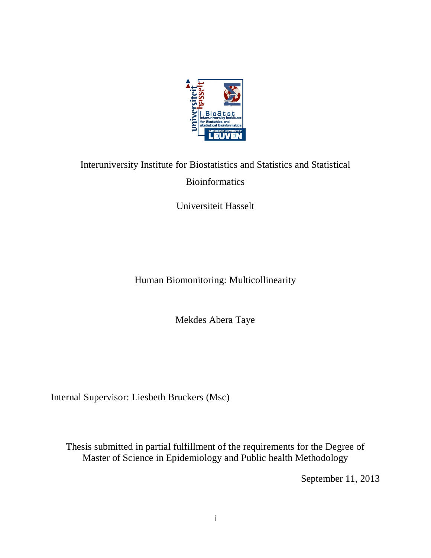

# Interuniversity Institute for Biostatistics and Statistics and Statistical Bioinformatics

Universiteit Hasselt

Human Biomonitoring: Multicollinearity

Mekdes Abera Taye

Internal Supervisor: Liesbeth Bruckers (Msc)

Thesis submitted in partial fulfillment of the requirements for the Degree of Master of Science in Epidemiology and Public health Methodology

September 11, 2013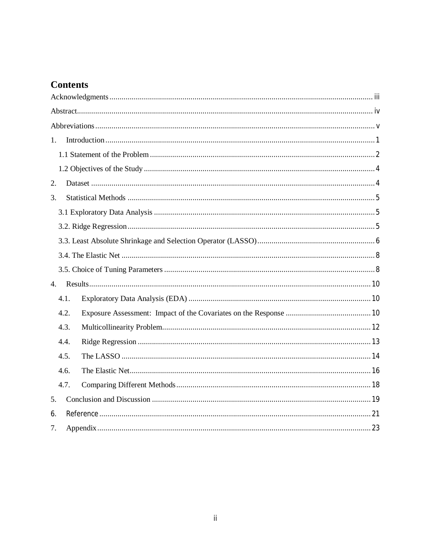# **Contents**

| 1.   |  |
|------|--|
|      |  |
|      |  |
| 2.   |  |
| 3.   |  |
|      |  |
|      |  |
|      |  |
|      |  |
|      |  |
| 4.   |  |
| 4.1. |  |
| 4.2. |  |
| 4.3. |  |
| 4.4. |  |
| 4.5. |  |
| 4.6. |  |
| 4.7. |  |
| 5.   |  |
| 6.   |  |
| 7.   |  |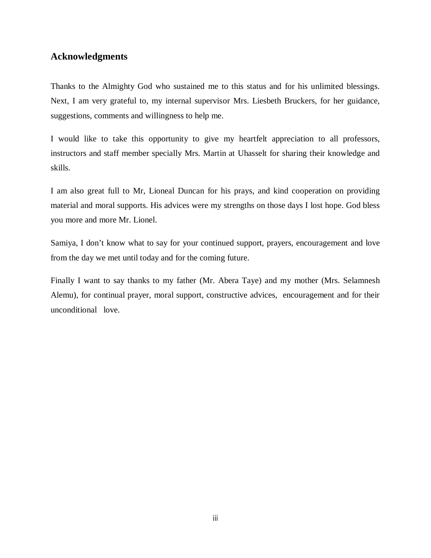# **Acknowledgments**

Thanks to the Almighty God who sustained me to this status and for his unlimited blessings. Next, I am very grateful to, my internal supervisor Mrs. Liesbeth Bruckers, for her guidance, suggestions, comments and willingness to help me.

I would like to take this opportunity to give my heartfelt appreciation to all professors, instructors and staff member specially Mrs. Martin at Uhasselt for sharing their knowledge and skills.

I am also great full to Mr, Lioneal Duncan for his prays, and kind cooperation on providing material and moral supports. His advices were my strengths on those days I lost hope. God bless you more and more Mr. Lionel.

Samiya, I don't know what to say for your continued support, prayers, encouragement and love from the day we met until today and for the coming future.

Finally I want to say thanks to my father (Mr. Abera Taye) and my mother (Mrs. Selamnesh Alemu), for continual prayer, moral support, constructive advices, encouragement and for their unconditional love.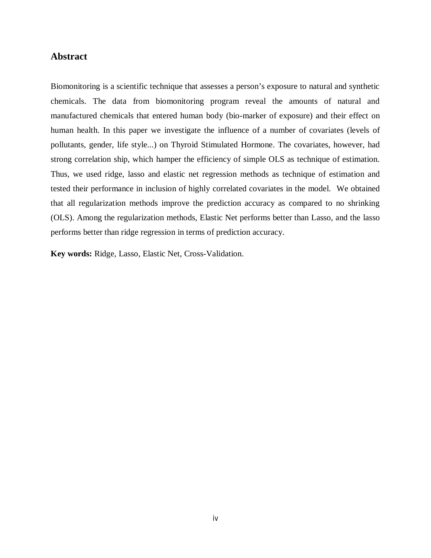# **Abstract**

Biomonitoring is a scientific technique that assesses a person's exposure to natural and synthetic chemicals. The data from biomonitoring program reveal the amounts of natural and manufactured chemicals that entered human body (bio-marker of exposure) and their effect on human health. In this paper we investigate the influence of a number of covariates (levels of pollutants, gender, life style...) on Thyroid Stimulated Hormone. The covariates, however, had strong correlation ship, which hamper the efficiency of simple OLS as technique of estimation. Thus, we used ridge, lasso and elastic net regression methods as technique of estimation and tested their performance in inclusion of highly correlated covariates in the model. We obtained that all regularization methods improve the prediction accuracy as compared to no shrinking (OLS). Among the regularization methods, Elastic Net performs better than Lasso, and the lasso performs better than ridge regression in terms of prediction accuracy.

**Key words:** Ridge, Lasso, Elastic Net, Cross-Validation.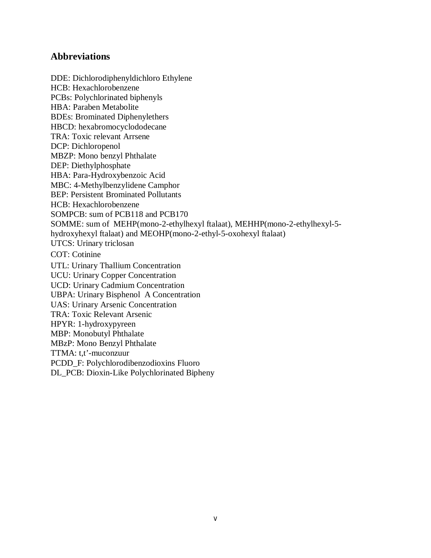# **Abbreviations**

DDE: Dichlorodiphenyldichloro Ethylene HCB: Hexachlorobenzene PCBs: Polychlorinated biphenyls HBA: Paraben Metabolite BDEs: Brominated Diphenylethers HBCD: hexabromocyclododecane TRA: Toxic relevant Arrsene DCP: Dichloropenol MBZP: Mono benzyl Phthalate DEP: Diethylphosphate HBA: Para-Hydroxybenzoic Acid MBC: 4-Methylbenzylidene Camphor BEP: Persistent Brominated Pollutants HCB: Hexachlorobenzene SOMPCB: sum of PCB118 and PCB170 SOMME: sum of MEHP(mono-2-ethylhexyl ftalaat), MEHHP(mono-2-ethylhexyl-5 hydroxyhexyl ftalaat) and MEOHP(mono-2-ethyl-5-oxohexyl ftalaat) UTCS: Urinary triclosan COT: Cotinine UTL: Urinary Thallium Concentration UCU: Urinary Copper Concentration UCD: Urinary Cadmium Concentration UBPA: Urinary Bisphenol A Concentration UAS: Urinary Arsenic Concentration TRA: Toxic Relevant Arsenic HPYR: 1-hydroxypyreen MBP: Monobutyl Phthalate MBzP: Mono Benzyl Phthalate TTMA: t,t'-muconzuur PCDD\_F: Polychlorodibenzodioxins Fluoro DL\_PCB: Dioxin-Like Polychlorinated Bipheny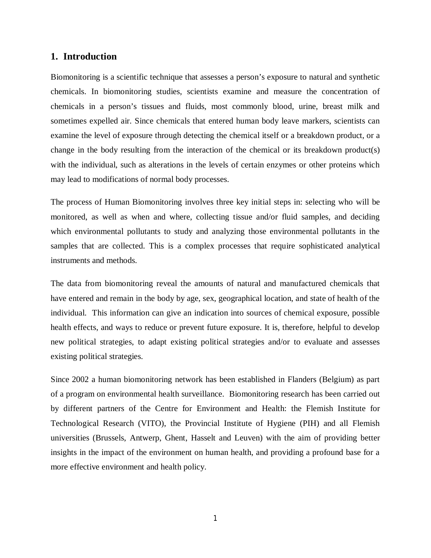# **1. Introduction**

Biomonitoring is a scientific technique that assesses a person's exposure to natural and synthetic chemicals. In biomonitoring studies, scientists examine and measure the concentration of chemicals in a person's tissues and fluids, most commonly blood, urine, breast milk and sometimes expelled air. Since chemicals that entered human body leave markers, scientists can examine the level of exposure through detecting the chemical itself or a breakdown product, or a change in the body resulting from the interaction of the chemical or its breakdown product(s) with the individual, such as alterations in the levels of certain enzymes or other proteins which may lead to modifications of normal body processes.

The process of Human Biomonitoring involves three key initial steps in: selecting who will be monitored, as well as when and where, collecting tissue and/or fluid samples, and deciding which environmental pollutants to study and analyzing those environmental pollutants in the samples that are collected. This is a complex processes that require sophisticated analytical instruments and methods.

The data from biomonitoring reveal the amounts of natural and manufactured chemicals that have entered and remain in the body by age, sex, geographical location, and state of health of the individual. This information can give an indication into sources of chemical exposure, possible health effects, and ways to reduce or prevent future exposure. It is, therefore, helpful to develop new political strategies, to adapt existing political strategies and/or to evaluate and assesses existing political strategies.

Since 2002 a human biomonitoring network has been established in Flanders (Belgium) as part of a program on environmental health surveillance. Biomonitoring research has been carried out by different partners of the Centre for Environment and Health: the Flemish Institute for Technological Research (VITO), the Provincial Institute of Hygiene (PIH) and all Flemish universities (Brussels, Antwerp, Ghent, Hasselt and Leuven) with the aim of providing better insights in the impact of the environment on human health, and providing a profound base for a more effective environment and health policy.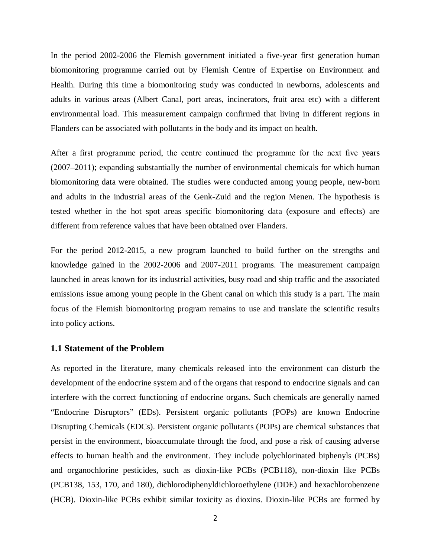In the period 2002-2006 the Flemish government initiated a five-year first generation human biomonitoring programme carried out by Flemish Centre of Expertise on Environment and Health. During this time a biomonitoring study was conducted in newborns, adolescents and adults in various areas (Albert Canal, port areas, incinerators, fruit area etc) with a different environmental load. This measurement campaign confirmed that living in different regions in Flanders can be associated with pollutants in the body and its impact on health.

After a first programme period, the centre continued the programme for the next five years (2007–2011); expanding substantially the number of environmental chemicals for which human biomonitoring data were obtained. The studies were conducted among young people, new-born and adults in the industrial areas of the Genk-Zuid and the region Menen. The hypothesis is tested whether in the hot spot areas specific biomonitoring data (exposure and effects) are different from reference values that have been obtained over Flanders.

For the period 2012-2015, a new program launched to build further on the strengths and knowledge gained in the 2002-2006 and 2007-2011 programs. The measurement campaign launched in areas known for its industrial activities, busy road and ship traffic and the associated emissions issue among young people in the Ghent canal on which this study is a part. The main focus of the Flemish biomonitoring program remains to use and translate the scientific results into policy actions.

# **1.1 Statement of the Problem**

As reported in the literature, many chemicals released into the environment can disturb the development of the endocrine system and of the organs that respond to endocrine signals and can interfere with the correct functioning of endocrine organs. Such chemicals are generally named "Endocrine Disruptors" (EDs). Persistent organic pollutants (POPs) are known Endocrine Disrupting Chemicals (EDCs). Persistent organic pollutants (POPs) are chemical substances that persist in the environment, bioaccumulate through the food, and pose a risk of causing adverse effects to human health and the environment. They include polychlorinated biphenyls (PCBs) and organochlorine pesticides, such as dioxin-like PCBs (PCB118), non-dioxin like PCBs (PCB138, 153, 170, and 180), dichlorodiphenyldichloroethylene (DDE) and hexachlorobenzene (HCB). Dioxin-like PCBs exhibit similar toxicity as dioxins. Dioxin-like PCBs are formed by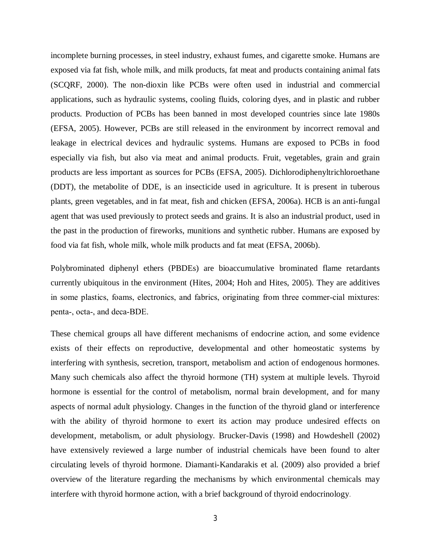incomplete burning processes, in steel industry, exhaust fumes, and cigarette smoke. Humans are exposed via fat fish, whole milk, and milk products, fat meat and products containing animal fats (SCQRF, 2000). The non-dioxin like PCBs were often used in industrial and commercial applications, such as hydraulic systems, cooling fluids, coloring dyes, and in plastic and rubber products. Production of PCBs has been banned in most developed countries since late 1980s (EFSA, 2005). However, PCBs are still released in the environment by incorrect removal and leakage in electrical devices and hydraulic systems. Humans are exposed to PCBs in food especially via fish, but also via meat and animal products. Fruit, vegetables, grain and grain products are less important as sources for PCBs (EFSA, 2005). Dichlorodiphenyltrichloroethane (DDT), the metabolite of DDE, is an insecticide used in agriculture. It is present in tuberous plants, green vegetables, and in fat meat, fish and chicken (EFSA, 2006a). HCB is an anti-fungal agent that was used previously to protect seeds and grains. It is also an industrial product, used in the past in the production of fireworks, munitions and synthetic rubber. Humans are exposed by food via fat fish, whole milk, whole milk products and fat meat (EFSA, 2006b).

Polybrominated diphenyl ethers (PBDEs) are bioaccumulative brominated flame retardants currently ubiquitous in the environment (Hites, 2004; Hoh and Hites, 2005). They are additives in some plastics, foams, electronics, and fabrics, originating from three commer-cial mixtures: penta-, octa-, and deca-BDE.

These chemical groups all have different mechanisms of endocrine action, and some evidence exists of their effects on reproductive, developmental and other homeostatic systems by interfering with synthesis, secretion, transport, metabolism and action of endogenous hormones. Many such chemicals also affect the thyroid hormone (TH) system at multiple levels. Thyroid hormone is essential for the control of metabolism, normal brain development, and for many aspects of normal adult physiology. Changes in the function of the thyroid gland or interference with the ability of thyroid hormone to exert its action may produce undesired effects on development, metabolism, or adult physiology. Brucker-Davis (1998) and Howdeshell (2002) have extensively reviewed a large number of industrial chemicals have been found to alter circulating levels of thyroid hormone. Diamanti-Kandarakis et al. (2009) also provided a brief overview of the literature regarding the mechanisms by which environmental chemicals may interfere with thyroid hormone action, with a brief background of thyroid endocrinology.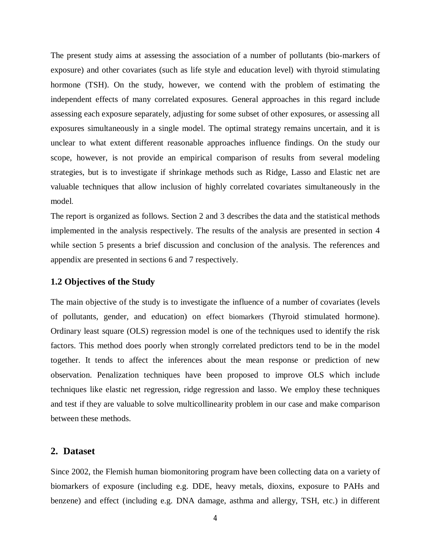The present study aims at assessing the association of a number of pollutants (bio-markers of exposure) and other covariates (such as life style and education level) with thyroid stimulating hormone (TSH). On the study, however, we contend with the problem of estimating the independent effects of many correlated exposures. General approaches in this regard include assessing each exposure separately, adjusting for some subset of other exposures, or assessing all exposures simultaneously in a single model. The optimal strategy remains uncertain, and it is unclear to what extent different reasonable approaches influence findings. On the study our scope, however, is not provide an empirical comparison of results from several modeling strategies, but is to investigate if shrinkage methods such as Ridge, Lasso and Elastic net are valuable techniques that allow inclusion of highly correlated covariates simultaneously in the model.

The report is organized as follows. Section 2 and 3 describes the data and the statistical methods implemented in the analysis respectively. The results of the analysis are presented in section 4 while section 5 presents a brief discussion and conclusion of the analysis. The references and appendix are presented in sections 6 and 7 respectively.

#### **1.2 Objectives of the Study**

The main objective of the study is to investigate the influence of a number of covariates (levels of pollutants, gender, and education) on effect biomarkers (Thyroid stimulated hormone). Ordinary least square (OLS) regression model is one of the techniques used to identify the risk factors. This method does poorly when strongly correlated predictors tend to be in the model together. It tends to affect the inferences about the mean response or prediction of new observation. Penalization techniques have been proposed to improve OLS which include techniques like elastic net regression, ridge regression and lasso. We employ these techniques and test if they are valuable to solve multicollinearity problem in our case and make comparison between these methods.

# **2. Dataset**

Since 2002, the Flemish human biomonitoring program have been collecting data on a variety of biomarkers of exposure (including e.g. DDE, heavy metals, dioxins, exposure to PAHs and benzene) and effect (including e.g. DNA damage, asthma and allergy, TSH, etc.) in different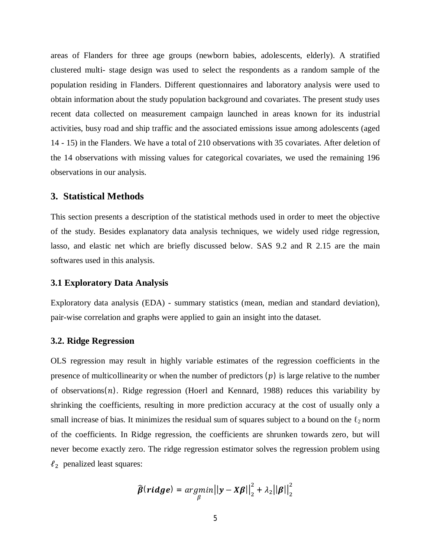areas of Flanders for three age groups (newborn babies, adolescents, elderly). A stratified clustered multi- stage design was used to select the respondents as a random sample of the population residing in Flanders. Different questionnaires and laboratory analysis were used to obtain information about the study population background and covariates. The present study uses recent data collected on measurement campaign launched in areas known for its industrial activities, busy road and ship traffic and the associated emissions issue among adolescents (aged 14 - 15) in the Flanders. We have a total of 210 observations with 35 covariates. After deletion of the 14 observations with missing values for categorical covariates, we used the remaining 196 observations in our analysis.

# **3. Statistical Methods**

This section presents a description of the statistical methods used in order to meet the objective of the study. Besides explanatory data analysis techniques, we widely used ridge regression, lasso, and elastic net which are briefly discussed below. SAS 9.2 and R 2.15 are the main softwares used in this analysis.

### **3.1 Exploratory Data Analysis**

Exploratory data analysis (EDA) - summary statistics (mean, median and standard deviation), pair-wise correlation and graphs were applied to gain an insight into the dataset.

## **3.2. Ridge Regression**

OLS regression may result in highly variable estimates of the regression coefficients in the presence of multicollinearity or when the number of predictors  $(p)$  is large relative to the number of observations $(n)$ . Ridge regression (Hoerl and Kennard, 1988) reduces this variability by shrinking the coefficients, resulting in more prediction accuracy at the cost of usually only a small increase of bias. It minimizes the residual sum of squares subject to a bound on the  $\ell_2$  norm of the coefficients. In Ridge regression, the coefficients are shrunken towards zero, but will never become exactly zero. The ridge regression estimator solves the regression problem using  $\ell_2$  penalized least squares:

$$
\widehat{\boldsymbol{\beta}}(\boldsymbol{ridge}) = \underset{\boldsymbol{\beta}}{\operatorname{argmin}} \big|\big|\boldsymbol{y} - \boldsymbol{X}\boldsymbol{\beta}\big|\big|_2^2 + \lambda_2 \big|\big|\boldsymbol{\beta}\big|\big|_2^2
$$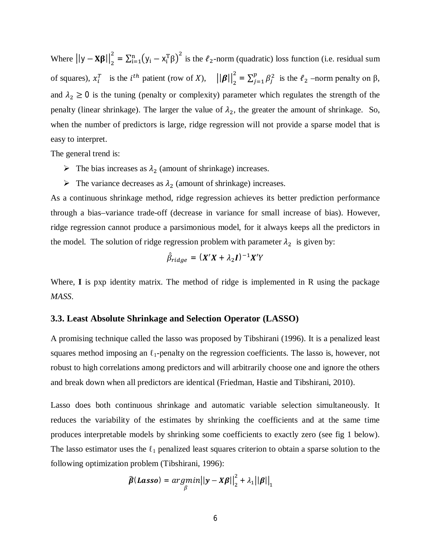Where  $\left|y - \mathbf{X}\boldsymbol{\beta}\right|_2^2$  $\sum_{i=1}^{2}$  =  $\sum_{i=1}^{n} (y_i - x_i^T \beta)^2$  is the  $\ell_2$ -norm (quadratic) loss function (i.e. residual sum of squares),  $x_i^T$  is the  $i^{th}$  patient (row of X),  $||\boldsymbol{\beta}||_2^2$  $\sum_{j=1}^{2} \sum_{j=1}^{p} \beta_j^2$  $\int_{j=1}^{p} \beta_j^2$  is the  $\ell_2$  –norm penalty on  $\beta$ , and  $\lambda_2 \ge 0$  is the tuning (penalty or complexity) parameter which regulates the strength of the penalty (linear shrinkage). The larger the value of  $\lambda_2$ , the greater the amount of shrinkage. So, when the number of predictors is large, ridge regression will not provide a sparse model that is easy to interpret.

The general trend is:

- $\triangleright$  The bias increases as  $\lambda_2$  (amount of shrinkage) increases.
- $\triangleright$  The variance decreases as  $\lambda_2$  (amount of shrinkage) increases.

As a continuous shrinkage method, ridge regression achieves its better prediction performance through a bias–variance trade-off (decrease in variance for small increase of bias). However, ridge regression cannot produce a parsimonious model, for it always keeps all the predictors in the model. The solution of ridge regression problem with parameter  $\lambda_2$  is given by:

$$
\hat{\beta}_{ridge} = (X'X + \lambda_2 I)^{-1}X'Y
$$

Where, **I** is pxp identity matrix. The method of ridge is implemented in R using the package *MASS*.

# **3.3. Least Absolute Shrinkage and Selection Operator (LASSO)**

A promising technique called the lasso was proposed by Tibshirani (1996). It is a penalized least squares method imposing an  $\ell_1$ -penalty on the regression coefficients. The lasso is, however, not robust to high correlations among predictors and will arbitrarily choose one and ignore the others and break down when all predictors are identical (Friedman, Hastie and Tibshirani, 2010).

Lasso does both continuous shrinkage and automatic variable selection simultaneously. It reduces the variability of the estimates by shrinking the coefficients and at the same time produces interpretable models by shrinking some coefficients to exactly zero (see fig 1 below). The lasso estimator uses the  $\ell_1$  penalized least squares criterion to obtain a sparse solution to the following optimization problem (Tibshirani, 1996):

$$
\widehat{\boldsymbol{\beta}}(\textit{Lasso}) = \underset{\beta}{argmin} ||\mathbf{y} - \mathbf{X}\boldsymbol{\beta}||_2^2 + \lambda_1 ||\boldsymbol{\beta}||_1
$$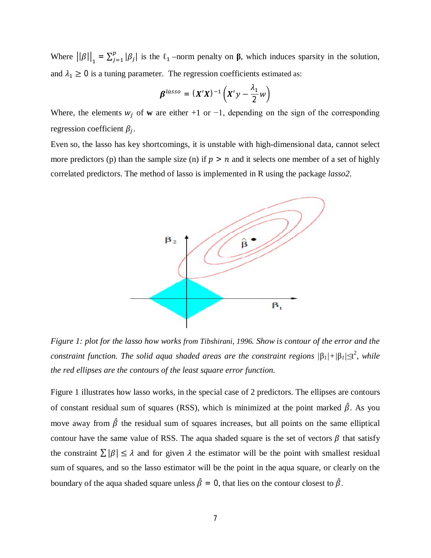Where  $\left| |\beta| \right|_1 = \sum_{j=1}^p |\beta_j|$  $\int_{j=1}^{p} |\beta_j|$  is the  $\ell_1$  –norm penalty on **β**, which induces sparsity in the solution, and  $\lambda_1 \geq 0$  is a tuning parameter. The regression coefficients estimated as:

$$
\beta^{lasso} = (X'X)^{-1} \left( X'y - \frac{\lambda_1}{2} w \right)
$$

Where, the elements  $w_i$  of **w** are either +1 or -1, depending on the sign of the corresponding regression coefficient  $\beta_j$ .

Even so, the lasso has key shortcomings, it is unstable with high-dimensional data, cannot select more predictors (p) than the sample size (n) if  $p > n$  and it selects one member of a set of highly correlated predictors. The method of lasso is implemented in R using the package *lasso2*.



*Figure 1: plot for the lasso how works from Tibshirani, 1996. Show is contour of the error and the constraint function. The solid aqua shaded areas are the constraint regions |*β1*|+|*β*1|≤*t 2 *, while the red ellipses are the contours of the least square error function.* 

Figure 1 illustrates how lasso works, in the special case of 2 predictors. The ellipses are contours of constant residual sum of squares (RSS), which is minimized at the point marked  $\hat{\beta}$ . As you move away from  $\hat{\beta}$  the residual sum of squares increases, but all points on the same elliptical contour have the same value of RSS. The aqua shaded square is the set of vectors  $\beta$  that satisfy the constraint  $\sum |\beta| \leq \lambda$  and for given  $\lambda$  the estimator will be the point with smallest residual sum of squares, and so the lasso estimator will be the point in the aqua square, or clearly on the boundary of the aqua shaded square unless  $\hat{\beta} = 0$ , that lies on the contour closest to  $\hat{\beta}$ .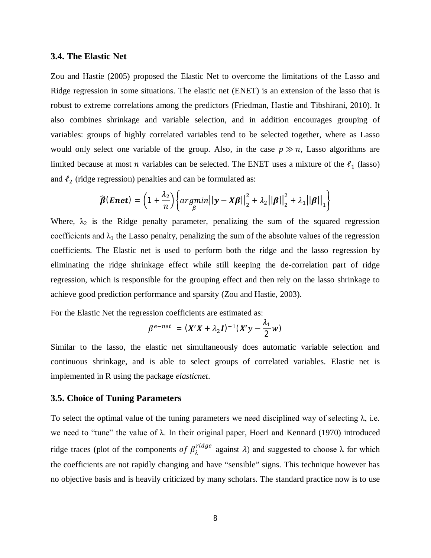#### **3.4. The Elastic Net**

Zou and Hastie (2005) proposed the Elastic Net to overcome the limitations of the Lasso and Ridge regression in some situations. The elastic net (ENET) is an extension of the lasso that is robust to extreme correlations among the predictors (Friedman, Hastie and Tibshirani, 2010). It also combines shrinkage and variable selection, and in addition encourages grouping of variables: groups of highly correlated variables tend to be selected together, where as Lasso would only select one variable of the group. Also, in the case  $p \gg n$ , Lasso algorithms are limited because at most *n* variables can be selected. The ENET uses a mixture of the  $\ell_1$  (lasso) and  $\ell_2$  (ridge regression) penalties and can be formulated as:

$$
\widehat{\boldsymbol{\beta}}(\boldsymbol{Enet}) = \left(1 + \frac{\lambda_2}{n}\right) \left\{ argmin_{\beta} ||\mathbf{y} - \mathbf{X}\boldsymbol{\beta}||_2^2 + \lambda_2 ||\boldsymbol{\beta}||_2^2 + \lambda_1 ||\boldsymbol{\beta}||_1 \right\}
$$

Where,  $\lambda_2$  is the Ridge penalty parameter, penalizing the sum of the squared regression coefficients and  $\lambda_1$  the Lasso penalty, penalizing the sum of the absolute values of the regression coefficients. The Elastic net is used to perform both the ridge and the lasso regression by eliminating the ridge shrinkage effect while still keeping the de-correlation part of ridge regression, which is responsible for the grouping effect and then rely on the lasso shrinkage to achieve good prediction performance and sparsity (Zou and Hastie, 2003).

For the Elastic Net the regression coefficients are estimated as:

$$
\beta^{e-net} = (X'X + \lambda_2 I)^{-1}(X'y - \frac{\lambda_1}{2}w)
$$

Similar to the lasso, the elastic net simultaneously does automatic variable selection and continuous shrinkage, and is able to select groups of correlated variables. Elastic net is implemented in R using the package *elasticnet*.

#### **3.5. Choice of Tuning Parameters**

To select the optimal value of the tuning parameters we need disciplined way of selecting  $\lambda$ , i.e. we need to "tune" the value of  $\lambda$ . In their original paper, Hoerl and Kennard (1970) introduced ridge traces (plot of the components of  $\beta_{\lambda}^{ridge}$  against  $\lambda$ ) and suggested to choose  $\lambda$  for which the coefficients are not rapidly changing and have "sensible" signs. This technique however has no objective basis and is heavily criticized by many scholars. The standard practice now is to use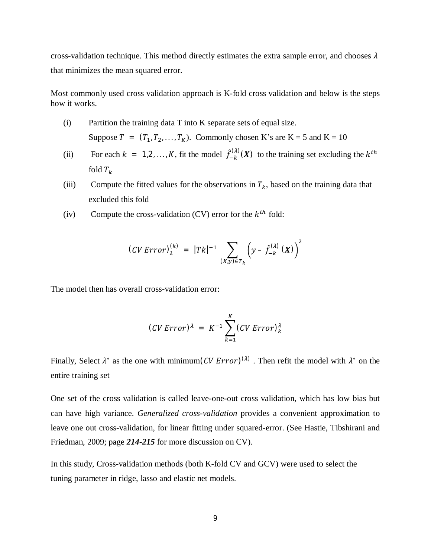cross-validation technique. This method directly estimates the extra sample error, and chooses  $\lambda$ that minimizes the mean squared error.

Most commonly used cross validation approach is K-fold cross validation and below is the steps how it works.

- (i) Partition the training data T into K separate sets of equal size. Suppose  $T = (T_1, T_2, \ldots, T_K)$ . Commonly chosen K's are K = 5 and K = 10
- (ii) For each  $k = 1, 2, ..., K$ , fit the model  $\hat{f}_{-k}^{(\lambda)}$  $\binom{(\lambda)}{k}$  (X) to the training set excluding the  $k^{th}$ fold  $T_k$
- (iii) Compute the fitted values for the observations in  $T_k$ , based on the training data that excluded this fold
- (iv) Compute the cross-validation (CV) error for the  $k^{th}$  fold:

$$
(CV Error)λ(k) = |Tk|-1 \sum_{(X,y)\in T_k} \left(y - \hat{f}_{-k}^{(\lambda)}(X)\right)^2
$$

The model then has overall cross-validation error:

$$
(CV Error)^{\lambda} = K^{-1} \sum_{k=1}^{K} (CV Error)^{\lambda}_{k}
$$

Finally, Select  $\lambda^*$  as the one with minimum(CV Error)<sup>( $\lambda$ )</sup>. Then refit the model with  $\lambda^*$  on the entire training set

One set of the cross validation is called leave-one-out cross validation, which has low bias but can have high variance. *Generalized cross-validation* provides a convenient approximation to leave one out cross-validation, for linear fitting under squared-error. (See Hastie, Tibshirani and Friedman, 2009; page *214-215* for more discussion on CV).

In this study, Cross-validation methods (both K-fold CV and GCV) were used to select the tuning parameter in ridge, lasso and elastic net models.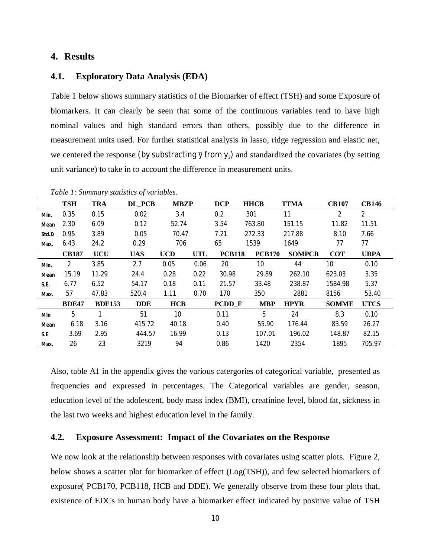# **4. Results**

#### **4.1. Exploratory Data Analysis (EDA)**

Table 1 below shows summary statistics of the Biomarker of effect (TSH) and some Exposure of biomarkers. It can clearly be seen that some of the continuous variables tend to have high nominal values and high standard errors than others, possibly due to the difference in measurement units used. For further statistical analysis in lasso, ridge regression and elastic net, we centered the response (by substracting  $\bar{y}$  from  $y_i$ ) and standardized the covariates (by setting unit variance) to take in to account the difference in measurement units.

|       | <b>TSH</b>   | <b>TRA</b>    | DL PCB     | <b>MBZP</b>     |            | <b>DCP</b>    | <b>HHCB</b>     | <b>TTMA</b>   | <b>CB107</b>    | <b>CB146</b>   |
|-------|--------------|---------------|------------|-----------------|------------|---------------|-----------------|---------------|-----------------|----------------|
| Min.  | 0.35         | 0.15          | 0.02       | 3.4             |            | 0.2           | 301             | 11            | 2               | $\overline{2}$ |
| Mean  | 2.30         | 6.09          | 0.12       | 52.74           |            | 3.54          | 763.80          | 151.15        | 11.82           | 11.51          |
| Std.D | 0.95         | 3.89          | 0.05       | 70.47           |            | 7.21          | 272.33          | 217.88        | 8.10            | 7.66           |
| Max.  | 6.43         | 24.2          | 0.29       | 706             |            | 65            | 1539            | 1649          | 77              | 77             |
|       | <b>CB187</b> | <b>UCU</b>    | <b>UAS</b> | <b>UCD</b>      | <b>UTL</b> | <b>PCB118</b> | <b>PCB170</b>   | <b>SOMPCB</b> | <b>COT</b>      | <b>UBPA</b>    |
| Min.  | 2            | 3.85          | 2.7        | 0.05            | 0.06       | 20            | 10 <sup>°</sup> | 44            | 10 <sup>°</sup> | 0.10           |
| Mean  | 15.19        | 11.29         | 24.4       | 0.28            | 0.22       | 30.98         | 29.89           | 262.10        | 623.03          | 3.35           |
| S.E.  | 6.77         | 6.52          | 54.17      | 0.18            | 0.11       | 21.57         | 33.48           | 238.87        | 1584.98         | 5.37           |
| Max.  | 57           | 47.83         | 520.4      | 1.11            | 0.70       | 170           | 350             | 2881          | 8156            | 53.40          |
|       | <b>BDE47</b> | <b>BDE153</b> | <b>DDE</b> | <b>HCB</b>      |            | <b>PCDD</b> F | <b>MBP</b>      | <b>HPYR</b>   | <b>SOMME</b>    | <b>UTCS</b>    |
| Min   | 5            |               | 51         | 10 <sup>°</sup> |            | 0.11          | 5               | 24            | 8.3             | 0.10           |
| Mean  | 6.18         | 3.16          | 415.72     | 40.18           |            | 0.40          | 55.90           | 176.44        | 83.59           | 26.27          |
| S.E   | 3.69         | 2.95          | 444.57     | 16.99           |            | 0.13          | 107.01          | 196.02        | 148.87          | 82.15          |
| Max.  | 26           | 23            | 3219       | 94              |            | 0.86          | 1420            | 2354          | 1895            | 705.97         |

*Table 1: Summary statistics of variables.*

Also, table A1 in the appendix gives the various catergories of categorical variable, presented as frequencies and expressed in percentages. The Categorical variables are gender, season, education level of the adolescent, body mass index (BMI), creatinine level, blood fat, sickness in the last two weeks and highest education level in the family.

# **4.2. Exposure Assessment: Impact of the Covariates on the Response**

We now look at the relationship between responses with covariates using scatter plots. Figure 2, below shows a scatter plot for biomarker of effect (Log(TSH)), and few selected biomarkers of exposure( PCB170, PCB118, HCB and DDE). We generally observe from these four plots that, existence of EDCs in human body have a biomarker effect indicated by positive value of TSH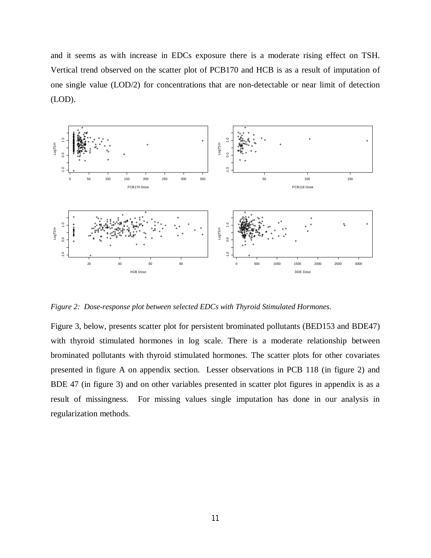and it seems as with increase in EDCs exposure there is a moderate rising effect on TSH. Vertical trend observed on the scatter plot of PCB170 and HCB is as a result of imputation of one single value (LOD/2) for concentrations that are non-detectable or near limit of detection (LOD).



*Figure 2: Dose-response plot between selected EDCs with Thyroid Stimulated Hormones.* 

Figure 3, below, presents scatter plot for persistent brominated pollutants (BED153 and BDE47) with thyroid stimulated hormones in log scale. There is a moderate relationship between brominated pollutants with thyroid stimulated hormones. The scatter plots for other covariates presented in figure A on appendix section. Lesser observations in PCB 118 (in figure 2) and BDE 47 (in figure 3) and on other variables presented in scatter plot figures in appendix is as a result of missingness. For missing values single imputation has done in our analysis in regularization methods.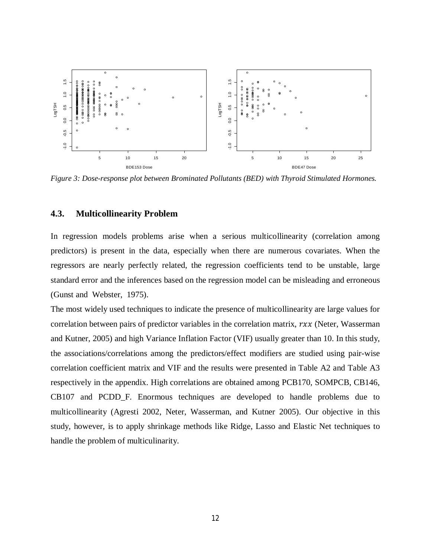

*Figure 3: Dose-response plot between Brominated Pollutants (BED) with Thyroid Stimulated Hormones.* 

# **4.3. Multicollinearity Problem**

In regression models problems arise when a serious multicollinearity (correlation among predictors) is present in the data, especially when there are numerous covariates. When the regressors are nearly perfectly related, the regression coefficients tend to be unstable, large standard error and the inferences based on the regression model can be misleading and erroneous (Gunst and Webster, 1975).

The most widely used techniques to indicate the presence of multicollinearity are large values for correlation between pairs of predictor variables in the correlation matrix,  $rxx$  (Neter, Wasserman and Kutner, 2005) and high Variance Inflation Factor (VIF) usually greater than 10. In this study, the associations/correlations among the predictors/effect modifiers are studied using pair-wise correlation coefficient matrix and VIF and the results were presented in Table A2 and Table A3 respectively in the appendix. High correlations are obtained among PCB170, SOMPCB, CB146, CB107 and PCDD\_F. Enormous techniques are developed to handle problems due to multicollinearity (Agresti 2002, Neter, Wasserman, and Kutner 2005). Our objective in this study, however, is to apply shrinkage methods like Ridge, Lasso and Elastic Net techniques to handle the problem of multiculinarity.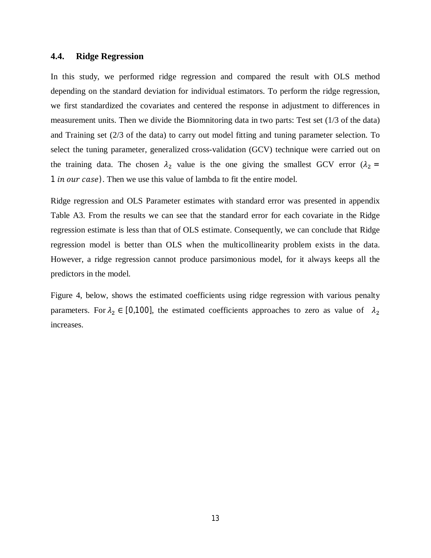### **4.4. Ridge Regression**

In this study, we performed ridge regression and compared the result with OLS method depending on the standard deviation for individual estimators. To perform the ridge regression, we first standardized the covariates and centered the response in adjustment to differences in measurement units. Then we divide the Biomnitoring data in two parts: Test set (1/3 of the data) and Training set (2/3 of the data) to carry out model fitting and tuning parameter selection. To select the tuning parameter, generalized cross-validation (GCV) technique were carried out on the training data. The chosen  $\lambda_2$  value is the one giving the smallest GCV error ( $\lambda_2$  = 1 *in our case*). Then we use this value of lambda to fit the entire model.

Ridge regression and OLS Parameter estimates with standard error was presented in appendix Table A3. From the results we can see that the standard error for each covariate in the Ridge regression estimate is less than that of OLS estimate. Consequently, we can conclude that Ridge regression model is better than OLS when the multicollinearity problem exists in the data. However, a ridge regression cannot produce parsimonious model, for it always keeps all the predictors in the model.

Figure 4, below, shows the estimated coefficients using ridge regression with various penalty parameters. For  $\lambda_2 \in [0,100]$ , the estimated coefficients approaches to zero as value of  $\lambda_2$ increases.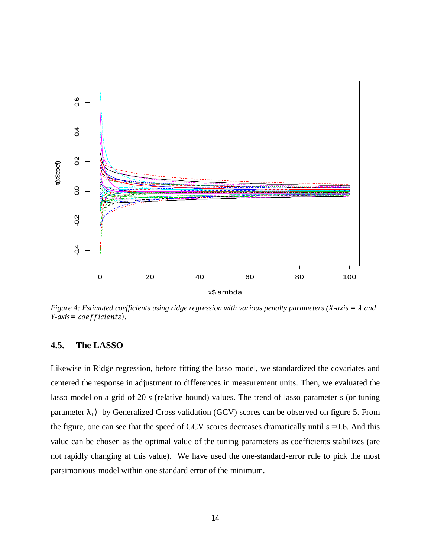

*Figure 4: Estimated coefficients using ridge regression with various penalty parameters (X-axis =*  $\lambda$  *and Y*-axis= coefficients).

# **4.5. The LASSO**

Likewise in Ridge regression, before fitting the lasso model, we standardized the covariates and centered the response in adjustment to differences in measurement units. Then, we evaluated the lasso model on a grid of 20 *s* (relative bound) values. The trend of lasso parameter s (or tuning parameter  $\lambda_1$ ) by Generalized Cross validation (GCV) scores can be observed on figure 5. From the figure, one can see that the speed of GCV scores decreases dramatically until *s* =0.6. And this value can be chosen as the optimal value of the tuning parameters as coefficients stabilizes (are not rapidly changing at this value). We have used the one-standard-error rule to pick the most parsimonious model within one standard error of the minimum.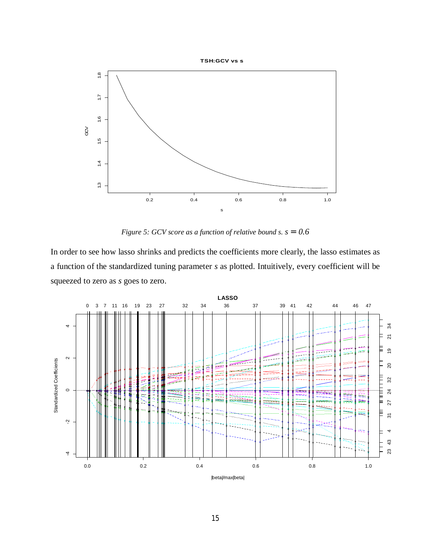

Figure 5: GCV score as a function of relative bound s.  $s = 0.6$ 

In order to see how lasso shrinks and predicts the coefficients more clearly, the lasso estimates as a function of the standardized tuning parameter s as plotted. Intuitively, every coefficient will be squeezed to zero as s goes to zero.

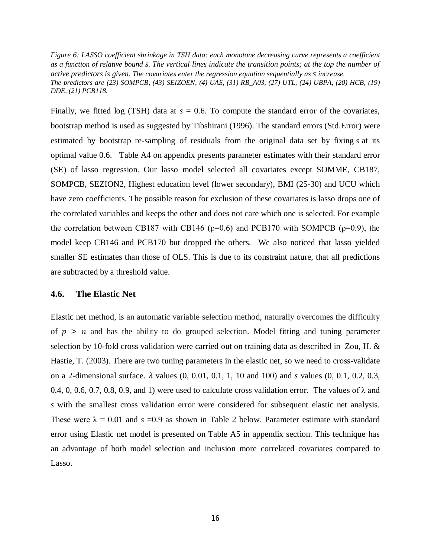*Figure 6: LASSO coefficient shrinkage in TSH data: each monotone decreasing curve represents a coefficient as a function of relative bound s. The vertical lines indicate the transition points; at the top the number of active predictors is given. The covariates enter the regression equation sequentially as s increase. The predictors are (23) SOMPCB, (43) SEIZOEN, (4) UAS, (31) RB\_A03, (27) UTL, (24) UBPA, (20) HCB, (19) DDE, (21) PCB118.* 

Finally, we fitted log (TSH) data at  $s = 0.6$ . To compute the standard error of the covariates, bootstrap method is used as suggested by Tibshirani (1996). The standard errors (Std.Error) were estimated by bootstrap re-sampling of residuals from the original data set by fixing s at its optimal value 0.6. Table A4 on appendix presents parameter estimates with their standard error (SE) of lasso regression. Our lasso model selected all covariates except SOMME, CB187, SOMPCB, SEZION2, Highest education level (lower secondary), BMI (25-30) and UCU which have zero coefficients. The possible reason for exclusion of these covariates is lasso drops one of the correlated variables and keeps the other and does not care which one is selected. For example the correlation between CB187 with CB146 ( $p=0.6$ ) and PCB170 with SOMPCB ( $p=0.9$ ), the model keep CB146 and PCB170 but dropped the others. We also noticed that lasso yielded smaller SE estimates than those of OLS. This is due to its constraint nature, that all predictions are subtracted by a threshold value.

### **4.6. The Elastic Net**

Elastic net method, is an automatic variable selection method, naturally overcomes the difficulty of  $p > n$  and has the ability to do grouped selection. Model fitting and tuning parameter selection by 10-fold cross validation were carried out on training data as described in Zou, H. & Hastie, T. (2003). There are two tuning parameters in the elastic net, so we need to cross-validate on a 2-dimensional surface. ߣ values (0, 0.01, 0.1, 1, 10 and 100) and *s* values (0, 0.1, 0.2, 0.3, 0.4, 0, 0.6, 0.7, 0.8, 0.9, and 1) were used to calculate cross validation error. The values of  $\lambda$  and *s* with the smallest cross validation error were considered for subsequent elastic net analysis. These were  $\lambda = 0.01$  and  $s = 0.9$  as shown in Table 2 below. Parameter estimate with standard error using Elastic net model is presented on Table A5 in appendix section. This technique has an advantage of both model selection and inclusion more correlated covariates compared to Lasso.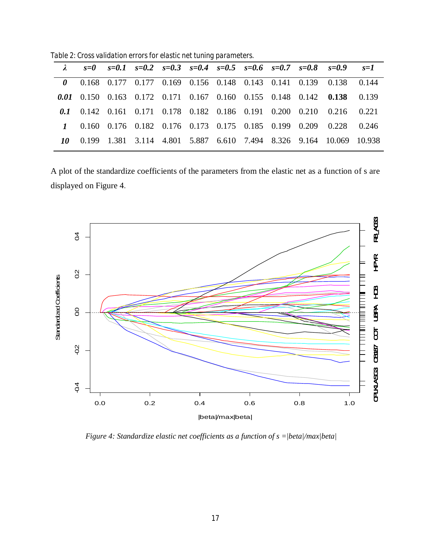*Table 2: Cross validation errors for elastic net tuning parameters.*

|  |  |  |  |  | $\lambda$ $s=0$ $s=0.1$ $s=0.2$ $s=0.3$ $s=0.4$ $s=0.5$ $s=0.6$ $s=0.7$ $s=0.8$ $s=0.9$ $s=1$ |  |
|--|--|--|--|--|-----------------------------------------------------------------------------------------------|--|
|  |  |  |  |  | 0 0.168 0.177 0.177 0.169 0.156 0.148 0.143 0.141 0.139 0.138 0.144                           |  |
|  |  |  |  |  | 0.01 0.150 0.163 0.172 0.171 0.167 0.160 0.155 0.148 0.142 0.138 0.139                        |  |
|  |  |  |  |  | 0.1 0.142 0.161 0.171 0.178 0.182 0.186 0.191 0.200 0.210 0.216 0.221                         |  |
|  |  |  |  |  | 1 0.160 0.176 0.182 0.176 0.173 0.175 0.185 0.199 0.209 0.228 0.246                           |  |
|  |  |  |  |  | 10 0.199 1.381 3.114 4.801 5.887 6.610 7.494 8.326 9.164 10.069 10.938                        |  |

A plot of the standardize coefficients of the parameters from the elastic net as a function of s are displayed on Figure 4.



 *Figure 4: Standardize elastic net coefficients as a function of s =|beta|/max|beta|*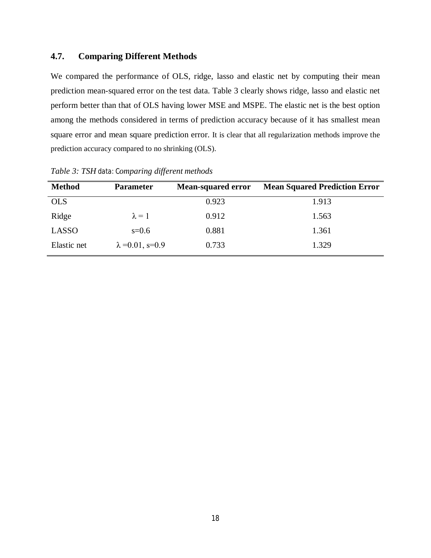# **4.7. Comparing Different Methods**

We compared the performance of OLS, ridge, lasso and elastic net by computing their mean prediction mean-squared error on the test data. Table 3 clearly shows ridge, lasso and elastic net perform better than that of OLS having lower MSE and MSPE. The elastic net is the best option among the methods considered in terms of prediction accuracy because of it has smallest mean square error and mean square prediction error. It is clear that all regularization methods improve the prediction accuracy compared to no shrinking (OLS).

| <b>Method</b> | <b>Parameter</b>         | <b>Mean-squared error</b> | <b>Mean Squared Prediction Error</b> |
|---------------|--------------------------|---------------------------|--------------------------------------|
| <b>OLS</b>    |                          | 0.923                     | 1.913                                |
| Ridge         | $\lambda = 1$            | 0.912                     | 1.563                                |
| LASSO         | $s=0.6$                  | 0.881                     | 1.361                                |
| Elastic net   | $\lambda = 0.01$ , s=0.9 | 0.733                     | 1.329                                |

*Table 3: TSH data: Comparing different methods*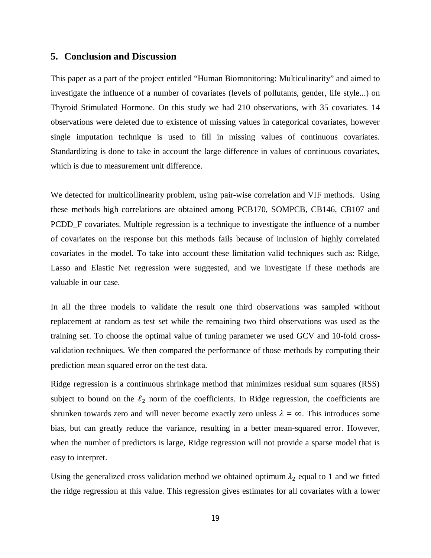## **5. Conclusion and Discussion**

This paper as a part of the project entitled "Human Biomonitoring: Multiculinarity" and aimed to investigate the influence of a number of covariates (levels of pollutants, gender, life style...) on Thyroid Stimulated Hormone. On this study we had 210 observations, with 35 covariates. 14 observations were deleted due to existence of missing values in categorical covariates, however single imputation technique is used to fill in missing values of continuous covariates. Standardizing is done to take in account the large difference in values of continuous covariates, which is due to measurement unit difference.

We detected for multicollinearity problem, using pair-wise correlation and VIF methods. Using these methods high correlations are obtained among PCB170, SOMPCB, CB146, CB107 and PCDD\_F covariates. Multiple regression is a technique to investigate the influence of a number of covariates on the response but this methods fails because of inclusion of highly correlated covariates in the model. To take into account these limitation valid techniques such as: Ridge, Lasso and Elastic Net regression were suggested, and we investigate if these methods are valuable in our case.

In all the three models to validate the result one third observations was sampled without replacement at random as test set while the remaining two third observations was used as the training set. To choose the optimal value of tuning parameter we used GCV and 10-fold crossvalidation techniques. We then compared the performance of those methods by computing their prediction mean squared error on the test data.

Ridge regression is a continuous shrinkage method that minimizes residual sum squares (RSS) subject to bound on the  $\ell_2$  norm of the coefficients. In Ridge regression, the coefficients are shrunken towards zero and will never become exactly zero unless  $\lambda = \infty$ . This introduces some bias, but can greatly reduce the variance, resulting in a better mean-squared error. However, when the number of predictors is large, Ridge regression will not provide a sparse model that is easy to interpret.

Using the generalized cross validation method we obtained optimum  $\lambda_2$  equal to 1 and we fitted the ridge regression at this value. This regression gives estimates for all covariates with a lower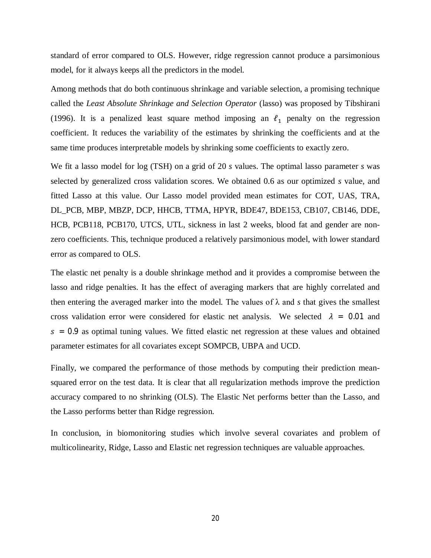standard of error compared to OLS. However, ridge regression cannot produce a parsimonious model, for it always keeps all the predictors in the model.

Among methods that do both continuous shrinkage and variable selection, a promising technique called the *Least Absolute Shrinkage and Selection Operator* (lasso) was proposed by Tibshirani (1996). It is a penalized least square method imposing an  $\ell_1$  penalty on the regression coefficient. It reduces the variability of the estimates by shrinking the coefficients and at the same time produces interpretable models by shrinking some coefficients to exactly zero.

We fit a lasso model for log (TSH) on a grid of 20 *s* values. The optimal lasso parameter *s* was selected by generalized cross validation scores. We obtained 0.6 as our optimized *s* value, and fitted Lasso at this value. Our Lasso model provided mean estimates for COT, UAS, TRA, DL\_PCB, MBP, MBZP, DCP, HHCB, TTMA, HPYR, BDE47, BDE153, CB107, CB146, DDE, HCB, PCB118, PCB170, UTCS, UTL, sickness in last 2 weeks, blood fat and gender are nonzero coefficients. This, technique produced a relatively parsimonious model, with lower standard error as compared to OLS.

The elastic net penalty is a double shrinkage method and it provides a compromise between the lasso and ridge penalties. It has the effect of averaging markers that are highly correlated and then entering the averaged marker into the model. The values of  $\lambda$  and *s* that gives the smallest cross validation error were considered for elastic net analysis. We selected  $\lambda = 0.01$  and  $s = 0.9$  as optimal tuning values. We fitted elastic net regression at these values and obtained parameter estimates for all covariates except SOMPCB, UBPA and UCD.

Finally, we compared the performance of those methods by computing their prediction meansquared error on the test data. It is clear that all regularization methods improve the prediction accuracy compared to no shrinking (OLS). The Elastic Net performs better than the Lasso, and the Lasso performs better than Ridge regression.

In conclusion, in biomonitoring studies which involve several covariates and problem of multicolinearity, Ridge, Lasso and Elastic net regression techniques are valuable approaches.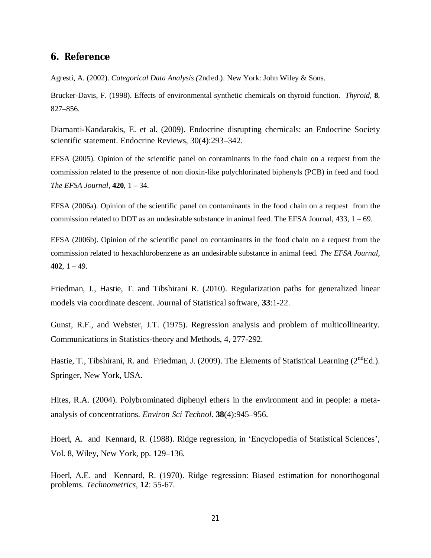# **6. Reference**

Agresti, A. (2002). *Categorical Data Analysis (*2nd ed.). New York: John Wiley & Sons.

Brucker-Davis, F. (1998). Effects of environmental synthetic chemicals on thyroid function. *Thyroid*, **8**, 827–856.

Diamanti-Kandarakis, E. et al. (2009). Endocrine disrupting chemicals: an Endocrine Society scientific statement. Endocrine Reviews, 30(4):293–342.

EFSA (2005). Opinion of the scientific panel on contaminants in the food chain on a request from the commission related to the presence of non dioxin-like polychlorinated biphenyls (PCB) in feed and food. *The EFSA Journal*, **420**, 1 – 34.

EFSA (2006a). Opinion of the scientific panel on contaminants in the food chain on a request from the commission related to DDT as an undesirable substance in animal feed. The EFSA Journal,  $433$ ,  $1 - 69$ .

EFSA (2006b). Opinion of the scientific panel on contaminants in the food chain on a request from the commission related to hexachlorobenzene as an undesirable substance in animal feed. *The EFSA Journal*, **402**, 1 – 49.

Friedman, J., Hastie, T. and Tibshirani R. (2010). Regularization paths for generalized linear models via coordinate descent. Journal of Statistical software, **33**:1-22.

Gunst, R.F., and Webster, J.T. (1975). Regression analysis and problem of multicollinearity. Communications in Statistics-theory and Methods, 4, 277-292.

Hastie, T., Tibshirani, R. and Friedman, J. (2009). The Elements of Statistical Learning  $(2^{nd}Ed.)$ . Springer, New York, USA.

Hites, R.A. (2004). Polybrominated diphenyl ethers in the environment and in people: a metaanalysis of concentrations. *Environ Sci Technol*. **38**(4):945–956.

Hoerl, A. and Kennard, R. (1988). Ridge regression, in 'Encyclopedia of Statistical Sciences', Vol. 8, Wiley, New York, pp. 129–136.

Hoerl, A.E. and Kennard, R. (1970). Ridge regression: Biased estimation for nonorthogonal problems. *Technometrics,* **12**: 55-67.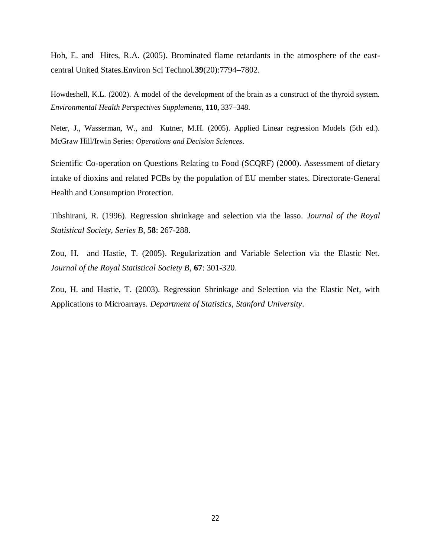Hoh, E. and Hites, R.A. (2005). Brominated flame retardants in the atmosphere of the eastcentral United States.Environ Sci Technol.**39**(20):7794–7802.

Howdeshell, K.L. (2002). A model of the development of the brain as a construct of the thyroid system. *Environmental Health Perspectives Supplements*, **110**, 337–348.

Neter, J., Wasserman, W., and Kutner, M.H. (2005). Applied Linear regression Models (5th ed.). McGraw Hill/Irwin Series: *Operations and Decision Sciences*.

Scientific Co-operation on Questions Relating to Food (SCQRF) (2000). Assessment of dietary intake of dioxins and related PCBs by the population of EU member states. Directorate-General Health and Consumption Protection.

Tibshirani, R. (1996). Regression shrinkage and selection via the lasso. *Journal of the Royal Statistical Society, Series B*, **58**: 267-288.

Zou, H. and Hastie, T. (2005). Regularization and Variable Selection via the Elastic Net. *Journal of the Royal Statistical Society B*, **67**: 301-320.

Zou, H. and Hastie, T. (2003). Regression Shrinkage and Selection via the Elastic Net, with Applications to Microarrays. *Department of Statistics, Stanford University*.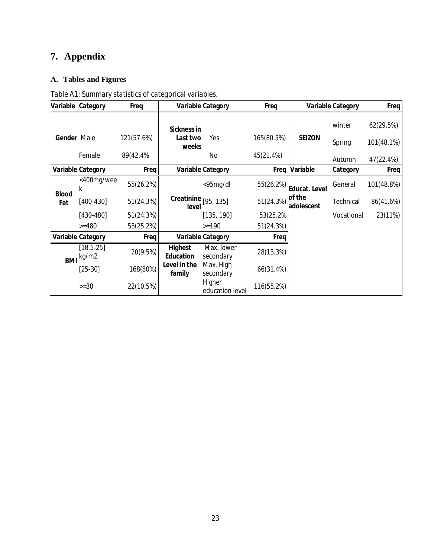# **7. Appendix**

# **A. Tables and Figures**

|              | Variable Category        | Freq       |                                    | <b>Variable Category</b>  | Freq       |                      | <b>Variable Category</b> | Freq       |
|--------------|--------------------------|------------|------------------------------------|---------------------------|------------|----------------------|--------------------------|------------|
|              |                          |            | <b>Sickness in</b>                 |                           |            |                      | winter                   | 62(29.5%)  |
| Gender Male  |                          | 121(57.6%) | Last two<br>weeks                  | Yes                       | 165(80.5%) | <b>SEIZON</b>        | Spring                   | 101(48.1%) |
|              | Female                   | 89(42.4%   |                                    | No                        | 45(21.4%)  |                      | Autumn                   | 47(22.4%)  |
|              | <b>Variable Category</b> | Freq       |                                    | <b>Variable Category</b>  |            | Freq Variable        | Category                 | Freq       |
| <b>Blood</b> | <400mg/wee<br>k          | 55(26.2%)  |                                    | $<$ 95mg/dl               | 55(26.2%)  | Educat. Level        | General                  | 101(48.8%) |
| Fat          | $[400-430]$              | 51(24.3%)  | Creatinine $[95, 135]$<br>level    |                           | 51(24.3%)  | of the<br>adolescent | Technical                | 86(41.6%)  |
|              | $[430-480]$              | 51(24.3%)  |                                    | [135, 190]                | 53(25.2%)  |                      | Vocational               | 23(11%)    |
|              | $>= 480$                 | 53(25.2%)  |                                    | $>=190$                   | 51(24.3%)  |                      |                          |            |
|              | <b>Variable Category</b> | Freq       |                                    | <b>Variable Category</b>  | Freq       |                      |                          |            |
| <b>BMI</b>   | $[18.5-25]$<br>kg/m2     | 20(9.5%)   | <b>Highest</b><br><b>Education</b> | Max. lower<br>secondary   | 28(13.3%)  |                      |                          |            |
|              | $[25-30]$                | 168(80%)   | Level in the<br>family             | Max. High<br>secondary    | 66(31.4%)  |                      |                          |            |
|              | $>=30$                   | 22(10.5%)  |                                    | Higher<br>education level | 116(55.2%) |                      |                          |            |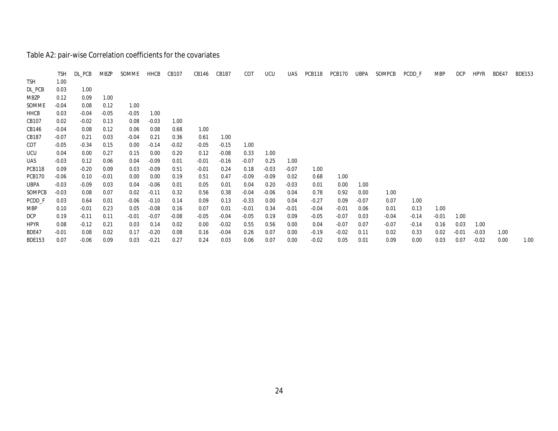# Table A2: pair-wise Correlation coefficients for the covariates

| <b>TSH</b>    | 1.00    |         |         |         | HHCB    | CB107   | CB146   | CB187   | COT     | <b>UCU</b> | <b>UAS</b> | PCB118  | <b>PCB170</b> | UBPA    | SOMPCB  | PCDD_F  | <b>MBP</b> | <b>DCP</b> | <b>HPYR</b> | BDE47 | <b>BDE153</b> |
|---------------|---------|---------|---------|---------|---------|---------|---------|---------|---------|------------|------------|---------|---------------|---------|---------|---------|------------|------------|-------------|-------|---------------|
|               |         |         |         |         |         |         |         |         |         |            |            |         |               |         |         |         |            |            |             |       |               |
| DL_PCB        | 0.03    | 1.00    |         |         |         |         |         |         |         |            |            |         |               |         |         |         |            |            |             |       |               |
| MBZP          | 0.12    | 0.09    | 1.00    |         |         |         |         |         |         |            |            |         |               |         |         |         |            |            |             |       |               |
| SOMME         | $-0.04$ | 0.08    | 0.12    | 1.00    |         |         |         |         |         |            |            |         |               |         |         |         |            |            |             |       |               |
| HHCB          | 0.03    | $-0.04$ | $-0.05$ | $-0.05$ | 1.00    |         |         |         |         |            |            |         |               |         |         |         |            |            |             |       |               |
| CB107         | 0.02    | $-0.02$ | 0.13    | 0.08    | $-0.03$ | 1.00    |         |         |         |            |            |         |               |         |         |         |            |            |             |       |               |
| CB146         | $-0.04$ | 0.08    | 0.12    | 0.06    | 0.08    | 0.68    | 1.00    |         |         |            |            |         |               |         |         |         |            |            |             |       |               |
| CB187         | $-0.07$ | 0.21    | 0.03    | $-0.04$ | 0.21    | 0.36    | 0.61    | 1.00    |         |            |            |         |               |         |         |         |            |            |             |       |               |
| COT           | $-0.05$ | $-0.34$ | 0.15    | 0.00    | $-0.14$ | $-0.02$ | $-0.05$ | $-0.15$ | 1.00    |            |            |         |               |         |         |         |            |            |             |       |               |
| <b>UCU</b>    | 0.04    | 0.00    | 0.27    | 0.15    | 0.00    | 0.20    | 0.12    | $-0.08$ | 0.33    | 1.00       |            |         |               |         |         |         |            |            |             |       |               |
| UAS           | $-0.03$ | 0.12    | 0.06    | 0.04    | $-0.09$ | 0.01    | $-0.01$ | $-0.16$ | $-0.07$ | 0.25       | 1.00       |         |               |         |         |         |            |            |             |       |               |
| <b>PCB118</b> | 0.09    | $-0.20$ | 0.09    | 0.03    | $-0.09$ | 0.51    | $-0.01$ | 0.24    | 0.18    | $-0.03$    | $-0.07$    | 1.00    |               |         |         |         |            |            |             |       |               |
| <b>PCB170</b> | $-0.06$ | 0.10    | $-0.01$ | 0.00    | 0.00    | 0.19    | 0.51    | 0.47    | $-0.09$ | $-0.09$    | 0.02       | 0.68    | 1.00          |         |         |         |            |            |             |       |               |
| UBPA          | $-0.03$ | $-0.09$ | 0.03    | 0.04    | $-0.06$ | 0.01    | 0.05    | 0.01    | 0.04    | 0.20       | $-0.03$    | 0.01    | 0.00          | 1.00    |         |         |            |            |             |       |               |
| SOMPCB        | $-0.03$ | 0.08    | 0.07    | 0.02    | $-0.11$ | 0.32    | 0.56    | 0.38    | $-0.04$ | $-0.06$    | 0.04       | 0.78    | 0.92          | 0.00    | 1.00    |         |            |            |             |       |               |
| PCDD_F        | 0.03    | 0.64    | 0.01    | $-0.06$ | $-0.10$ | 0.14    | 0.09    | 0.13    | $-0.33$ | 0.00       | 0.04       | $-0.27$ | 0.09          | $-0.07$ | 0.07    | 1.00    |            |            |             |       |               |
| <b>MBP</b>    | 0.10    | $-0.01$ | 0.23    | 0.05    | $-0.08$ | 0.16    | 0.07    | 0.01    | $-0.01$ | 0.34       | $-0.01$    | $-0.04$ | $-0.01$       | 0.06    | 0.01    | 0.13    | 1.00       |            |             |       |               |
| <b>DCP</b>    | 0.19    | $-0.11$ | 0.11    | $-0.01$ | $-0.07$ | $-0.08$ | $-0.05$ | $-0.04$ | $-0.05$ | 0.19       | 0.09       | $-0.05$ | $-0.07$       | 0.03    | $-0.04$ | $-0.14$ | $-0.01$    | 1.00       |             |       |               |
| <b>HPYR</b>   | 0.08    | $-0.12$ | 0.21    | 0.03    | 0.14    | 0.02    | 0.00    | $-0.02$ | 0.55    | 0.56       | 0.00       | 0.04    | $-0.07$       | 0.07    | $-0.07$ | $-0.14$ | 0.16       | 0.03       | 1.00        |       |               |
| BDE47         | $-0.01$ | 0.08    | 0.02    | 0.17    | $-0.20$ | 0.08    | 0.16    | $-0.04$ | 0.26    | 0.07       | 0.00       | $-0.19$ | $-0.02$       | 0.11    | 0.02    | 0.33    | 0.02       | $-0.01$    | $-0.03$     | 1.00  |               |
| <b>BDE153</b> | 0.07    | $-0.06$ | 0.09    | 0.03    | $-0.21$ | 0.27    | 0.24    | 0.03    | 0.06    | 0.07       | 0.00       | $-0.02$ | 0.05          | 0.01    | 0.09    | 0.00    | 0.03       | 0.07       | $-0.02$     | 0.00  | 1.00          |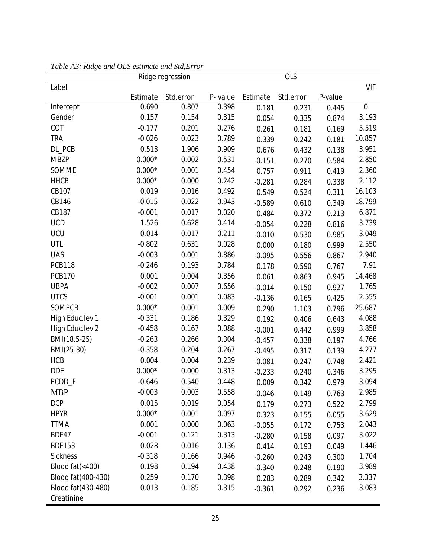|                    |          | Ridge regression |         | <b>OLS</b> |           |         |             |  |
|--------------------|----------|------------------|---------|------------|-----------|---------|-------------|--|
| Label              |          |                  |         |            |           |         | <b>VIF</b>  |  |
|                    | Estimate | Std.error        | P-value | Estimate   | Std.error | P-value |             |  |
| Intercept          | 0.690    | 0.807            | 0.398   | 0.181      | 0.231     | 0.445   | $\mathbf 0$ |  |
| Gender             | 0.157    | 0.154            | 0.315   | 0.054      | 0.335     | 0.874   | 3.193       |  |
| COT                | $-0.177$ | 0.201            | 0.276   | 0.261      | 0.181     | 0.169   | 5.519       |  |
| <b>TRA</b>         | $-0.026$ | 0.023            | 0.789   | 0.339      | 0.242     | 0.181   | 10.857      |  |
| DL PCB             | 0.513    | 1.906            | 0.909   | 0.676      | 0.432     | 0.138   | 3.951       |  |
| <b>MBZP</b>        | $0.000*$ | 0.002            | 0.531   | $-0.151$   | 0.270     | 0.584   | 2.850       |  |
| SOMME              | $0.000*$ | 0.001            | 0.454   | 0.757      | 0.911     | 0.419   | 2.360       |  |
| <b>HHCB</b>        | $0.000*$ | 0.000            | 0.242   | $-0.281$   | 0.284     | 0.338   | 2.112       |  |
| CB107              | 0.019    | 0.016            | 0.492   | 0.549      | 0.524     | 0.311   | 16.103      |  |
| CB146              | $-0.015$ | 0.022            | 0.943   | $-0.589$   | 0.610     | 0.349   | 18.799      |  |
| CB187              | $-0.001$ | 0.017            | 0.020   | 0.484      | 0.372     | 0.213   | 6.871       |  |
| <b>UCD</b>         | 1.526    | 0.628            | 0.414   | $-0.054$   | 0.228     | 0.816   | 3.739       |  |
| <b>UCU</b>         | 0.014    | 0.017            | 0.211   | $-0.010$   | 0.530     | 0.985   | 3.049       |  |
| <b>UTL</b>         | $-0.802$ | 0.631            | 0.028   | 0.000      | 0.180     | 0.999   | 2.550       |  |
| <b>UAS</b>         | $-0.003$ | 0.001            | 0.886   | $-0.095$   | 0.556     | 0.867   | 2.940       |  |
| <b>PCB118</b>      | $-0.246$ | 0.193            | 0.784   | 0.178      | 0.590     | 0.767   | 7.91        |  |
| <b>PCB170</b>      | 0.001    | 0.004            | 0.356   | 0.061      | 0.863     | 0.945   | 14.468      |  |
| <b>UBPA</b>        | $-0.002$ | 0.007            | 0.656   | $-0.014$   | 0.150     | 0.927   | 1.765       |  |
| <b>UTCS</b>        | $-0.001$ | 0.001            | 0.083   | $-0.136$   | 0.165     | 0.425   | 2.555       |  |
| SOMPCB             | $0.000*$ | 0.001            | 0.009   | 0.290      | 1.103     | 0.796   | 25.687      |  |
| High Educ.lev 1    | $-0.331$ | 0.186            | 0.329   | 0.192      | 0.406     | 0.643   | 4.088       |  |
| High Educ.lev 2    | $-0.458$ | 0.167            | 0.088   | $-0.001$   | 0.442     | 0.999   | 3.858       |  |
| BMI(18.5-25)       | $-0.263$ | 0.266            | 0.304   | $-0.457$   | 0.338     | 0.197   | 4.766       |  |
| BMI(25-30)         | $-0.358$ | 0.204            | 0.267   | $-0.495$   | 0.317     | 0.139   | 4.277       |  |
| <b>HCB</b>         | 0.004    | 0.004            | 0.239   | $-0.081$   | 0.247     | 0.748   | 2.421       |  |
| <b>DDE</b>         | $0.000*$ | 0.000            | 0.313   | $-0.233$   | 0.240     | 0.346   | 3.295       |  |
| PCDD_F             | $-0.646$ | 0.540            | 0.448   | 0.009      | 0.342     | 0.979   | 3.094       |  |
| <b>MBP</b>         | $-0.003$ | 0.003            | 0.558   | $-0.046$   | 0.149     | 0.763   | 2.985       |  |
| <b>DCP</b>         | 0.015    | 0.019            | 0.054   | 0.179      | 0.273     | 0.522   | 2.799       |  |
| <b>HPYR</b>        | $0.000*$ | 0.001            | 0.097   | 0.323      | 0.155     | 0.055   | 3.629       |  |
| <b>TTMA</b>        | 0.001    | 0.000            | 0.063   | $-0.055$   | 0.172     | 0.753   | 2.043       |  |
| <b>BDE47</b>       | $-0.001$ | 0.121            | 0.313   | $-0.280$   | 0.158     | 0.097   | 3.022       |  |
| <b>BDE153</b>      | 0.028    | 0.016            | 0.136   | 0.414      | 0.193     | 0.049   | 1.446       |  |
| <b>Sickness</b>    | $-0.318$ | 0.166            | 0.946   | $-0.260$   | 0.243     | 0.300   | 1.704       |  |
| Blood fat(<400)    | 0.198    | 0.194            | 0.438   | $-0.340$   | 0.248     | 0.190   | 3.989       |  |
| Blood fat(400-430) | 0.259    | 0.170            | 0.398   | 0.283      | 0.289     | 0.342   | 3.337       |  |
| Blood fat(430-480) | 0.013    | 0.185            | 0.315   | $-0.361$   | 0.292     | 0.236   | 3.083       |  |
| Creatinine         |          |                  |         |            |           |         |             |  |

*Table A3: Ridge and OLS estimate and Std,Error*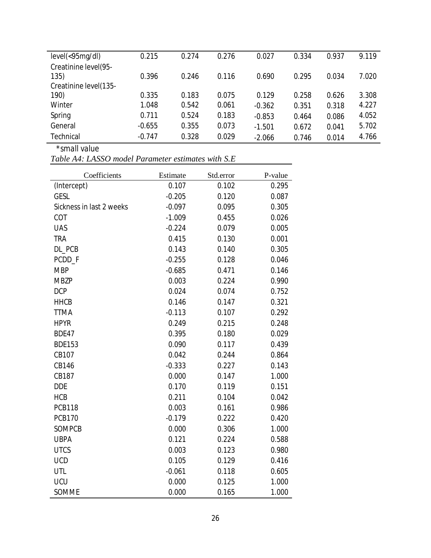| $level(<$ 95 $mq/dl)$ | 0.215    | 0.274 | 0.276 | 0.027    | 0.334 | 0.937 | 9.119 |
|-----------------------|----------|-------|-------|----------|-------|-------|-------|
| Creatinine level(95-  |          |       |       |          |       |       |       |
| 135)                  | 0.396    | 0.246 | 0.116 | 0.690    | 0.295 | 0.034 | 7.020 |
| Creatinine level(135- |          |       |       |          |       |       |       |
| 190)                  | 0.335    | 0.183 | 0.075 | 0.129    | 0.258 | 0.626 | 3.308 |
| Winter                | 1.048    | 0.542 | 0.061 | $-0.362$ | 0.351 | 0.318 | 4.227 |
| Spring                | 0.711    | 0.524 | 0.183 | $-0.853$ | 0.464 | 0.086 | 4.052 |
| General               | $-0.655$ | 0.355 | 0.073 | $-1.501$ | 0.672 | 0.041 | 5.702 |
| <b>Technical</b>      | $-0.747$ | 0.328 | 0.029 | $-2.066$ | 0.746 | 0.014 | 4.766 |

 *\*small value* 

*Table A4: LASSO model Parameter estimates with S.E*

| Coefficients             | Estimate | Std.error | P-value |
|--------------------------|----------|-----------|---------|
| (Intercept)              | 0.107    | 0.102     | 0.295   |
| <b>GESL</b>              | $-0.205$ | 0.120     | 0.087   |
| Sickness in last 2 weeks | $-0.097$ | 0.095     | 0.305   |
| COT                      | $-1.009$ | 0.455     | 0.026   |
| <b>UAS</b>               | $-0.224$ | 0.079     | 0.005   |
| <b>TRA</b>               | 0.415    | 0.130     | 0.001   |
| DL_PCB                   | 0.143    | 0.140     | 0.305   |
| PCDD_F                   | $-0.255$ | 0.128     | 0.046   |
| <b>MBP</b>               | $-0.685$ | 0.471     | 0.146   |
| <b>MBZP</b>              | 0.003    | 0.224     | 0.990   |
| <b>DCP</b>               | 0.024    | 0.074     | 0.752   |
| <b>HHCB</b>              | 0.146    | 0.147     | 0.321   |
| <b>TTMA</b>              | $-0.113$ | 0.107     | 0.292   |
| <b>HPYR</b>              | 0.249    | 0.215     | 0.248   |
| <b>BDE47</b>             | 0.395    | 0.180     | 0.029   |
| <b>BDE153</b>            | 0.090    | 0.117     | 0.439   |
| CB107                    | 0.042    | 0.244     | 0.864   |
| <b>CB146</b>             | $-0.333$ | 0.227     | 0.143   |
| CB187                    | 0.000    | 0.147     | 1.000   |
| <b>DDE</b>               | 0.170    | 0.119     | 0.151   |
| <b>HCB</b>               | 0.211    | 0.104     | 0.042   |
| <b>PCB118</b>            | 0.003    | 0.161     | 0.986   |
| <b>PCB170</b>            | $-0.179$ | 0.222     | 0.420   |
| <b>SOMPCB</b>            | 0.000    | 0.306     | 1.000   |
| <b>UBPA</b>              | 0.121    | 0.224     | 0.588   |
| <b>UTCS</b>              | 0.003    | 0.123     | 0.980   |
| <b>UCD</b>               | 0.105    | 0.129     | 0.416   |
| <b>UTL</b>               | $-0.061$ | 0.118     | 0.605   |
| UCU                      | 0.000    | 0.125     | 1.000   |
| SOMME                    | 0.000    | 0.165     | 1.000   |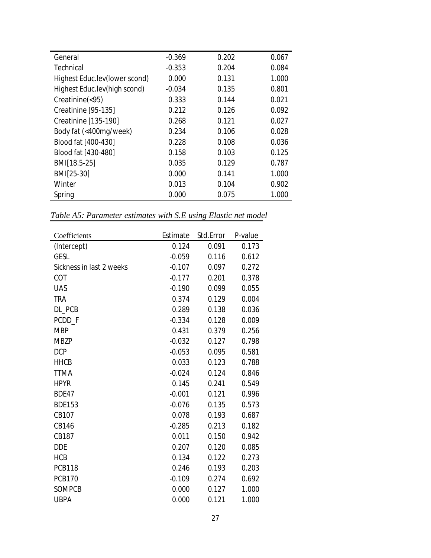| General                       | $-0.369$ | 0.202 | 0.067 |
|-------------------------------|----------|-------|-------|
| Technical                     | $-0.353$ | 0.204 | 0.084 |
| Highest Educ.lev(lower scond) | 0.000    | 0.131 | 1.000 |
| Highest Educ.lev(high scond)  | $-0.034$ | 0.135 | 0.801 |
| Creatinine(<95)               | 0.333    | 0.144 | 0.021 |
| Creatinine [95-135]           | 0.212    | 0.126 | 0.092 |
| Creatinine [135-190]          | 0.268    | 0.121 | 0.027 |
| Body fat (<400mg/week)        | 0.234    | 0.106 | 0.028 |
| Blood fat [400-430]           | 0.228    | 0.108 | 0.036 |
| Blood fat [430-480]           | 0.158    | 0.103 | 0.125 |
| BMI[18.5-25]                  | 0.035    | 0.129 | 0.787 |
| BMI[25-30]                    | 0.000    | 0.141 | 1.000 |
| Winter                        | 0.013    | 0.104 | 0.902 |
| Spring                        | 0.000    | 0.075 | 1.000 |

*Table A5: Parameter estimates with S.E using Elastic net model*

| Coefficients             | Estimate | Std.Error | P-value |
|--------------------------|----------|-----------|---------|
| (Intercept)              | 0.124    | 0.091     | 0.173   |
| <b>GESL</b>              | $-0.059$ | 0.116     | 0.612   |
| Sickness in last 2 weeks | $-0.107$ | 0.097     | 0.272   |
| <b>COT</b>               | $-0.177$ | 0.201     | 0.378   |
| <b>UAS</b>               | $-0.190$ | 0.099     | 0.055   |
| <b>TRA</b>               | 0.374    | 0.129     | 0.004   |
| DL PCB                   | 0.289    | 0.138     | 0.036   |
| PCDD_F                   | $-0.334$ | 0.128     | 0.009   |
| <b>MBP</b>               | 0.431    | 0.379     | 0.256   |
| <b>MBZP</b>              | $-0.032$ | 0.127     | 0.798   |
| <b>DCP</b>               | $-0.053$ | 0.095     | 0.581   |
| <b>HHCB</b>              | 0.033    | 0.123     | 0.788   |
| <b>TTMA</b>              | $-0.024$ | 0.124     | 0.846   |
| <b>HPYR</b>              | 0.145    | 0.241     | 0.549   |
| BDE47                    | $-0.001$ | 0.121     | 0.996   |
| <b>BDE153</b>            | $-0.076$ | 0.135     | 0.573   |
| CB107                    | 0.078    | 0.193     | 0.687   |
| CB146                    | $-0.285$ | 0.213     | 0.182   |
| CB187                    | 0.011    | 0.150     | 0.942   |
| <b>DDE</b>               | 0.207    | 0.120     | 0.085   |
| <b>HCB</b>               | 0.134    | 0.122     | 0.273   |
| <b>PCB118</b>            | 0.246    | 0.193     | 0.203   |
| <b>PCB170</b>            | $-0.109$ | 0.274     | 0.692   |
| <b>SOMPCB</b>            | 0.000    | 0.127     | 1.000   |
| <b>UBPA</b>              | 0.000    | 0.121     | 1.000   |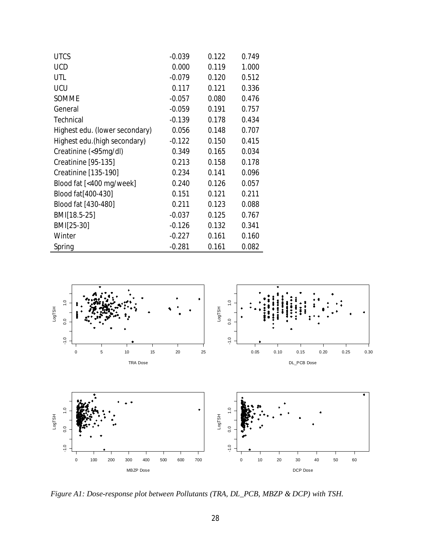| <b>UTCS</b>                    | $-0.039$ | 0.122 | 0.749 |
|--------------------------------|----------|-------|-------|
| <b>UCD</b>                     | 0.000    | 0.119 | 1.000 |
| UTL                            | $-0.079$ | 0.120 | 0.512 |
| <b>UCU</b>                     | 0.117    | 0.121 | 0.336 |
| SOMME                          | $-0.057$ | 0.080 | 0.476 |
| General                        | $-0.059$ | 0.191 | 0.757 |
| <b>Technical</b>               | $-0.139$ | 0.178 | 0.434 |
| Highest edu. (lower secondary) | 0.056    | 0.148 | 0.707 |
| Highest edu. (high secondary)  | $-0.122$ | 0.150 | 0.415 |
| Creatinine (<95mg/dl)          | 0.349    | 0.165 | 0.034 |
| Creatinine [95-135]            | 0.213    | 0.158 | 0.178 |
| Creatinine [135-190]           | 0.234    | 0.141 | 0.096 |
| Blood fat [<400 mg/week]       | 0.240    | 0.126 | 0.057 |
| Blood fat[400-430]             | 0.151    | 0.121 | 0.211 |
| Blood fat [430-480]            | 0.211    | 0.123 | 0.088 |
| BMI[18.5-25]                   | $-0.037$ | 0.125 | 0.767 |
| BMI[25-30]                     | $-0.126$ | 0.132 | 0.341 |
| Winter                         | $-0.227$ | 0.161 | 0.160 |
| Spring                         | $-0.281$ | 0.161 | 0.082 |

l,



*Figure A1: Dose-response plot between Pollutants (TRA, DL\_PCB, MBZP & DCP) with TSH.*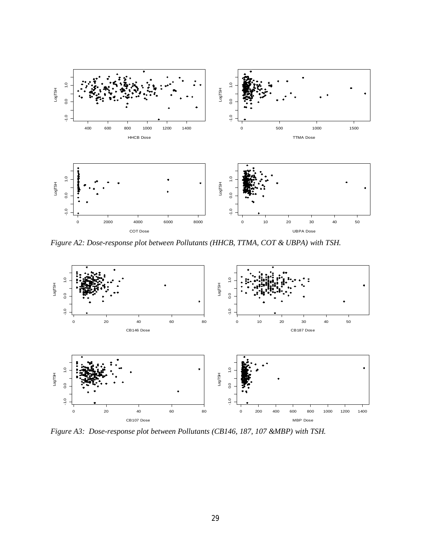

*Figure A2: Dose-response plot between Pollutants (HHCB, TTMA, COT & UBPA) with TSH.*



*Figure A3: Dose-response plot between Pollutants (CB146, 187, 107 &MBP) with TSH.*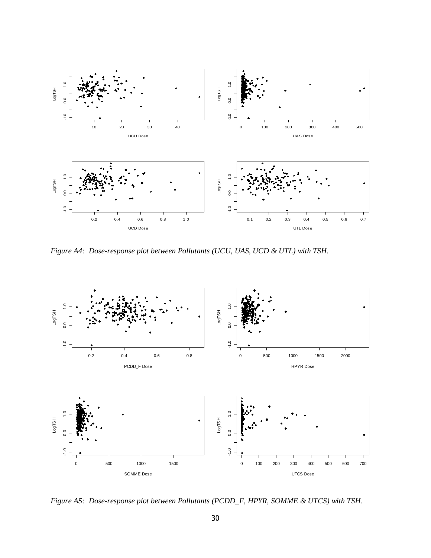

*Figure A4: Dose-response plot between Pollutants (UCU, UAS, UCD & UTL) with TSH.* 



*Figure A5: Dose-response plot between Pollutants (PCDD\_F, HPYR, SOMME & UTCS) with TSH.*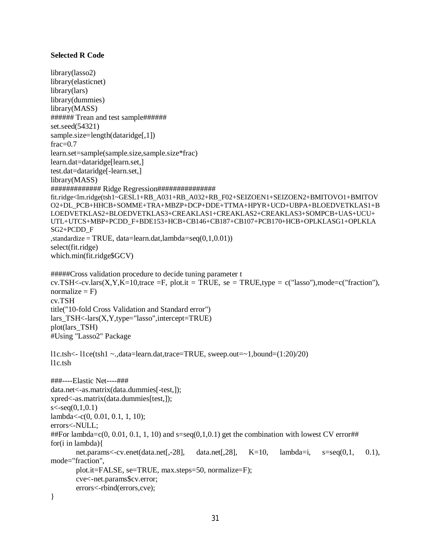## **Selected R Code**

```
library(lasso2)
library(elasticnet)
library(lars)
library(dummies)
library(MASS)
###### Trean and test sample######
set.seed(54321)
sample.size=length(dataridge[,1])
frac=0.7learn.set=sample(sample.size,sample.size*frac)
learn.dat=dataridge[learn.set,]
test.dat=dataridge[-learn.set,]
library(MASS)
############# Ridge Regression###############
fit.ridge<lm.ridge(tsh1~GESL1+RB_A031+RB_A032+RB_F02+SEIZOEN1+SEIZOEN2+BMITOVO1+BMITOV
O2+DL_PCB+HHCB+SOMME+TRA+MBZP+DCP+DDE+TTMA+HPYR+UCD+UBPA+BLOEDVETKLAS1+B
LOEDVETKLAS2+BLOEDVETKLAS3+CREAKLAS1+CREAKLAS2+CREAKLAS3+SOMPCB+UAS+UCU+
UTL+UTCS+MBP+PCDD_F+BDE153+HCB+CB146+CB187+CB107+PCB170+HCB+OPLKLASG1+OPLKLA
SG2+PCDD_F
\text{standardize} = \text{TRUE}, \text{data=learn.dat}, \text{lambda=seq}(0,1,0.01)select(fit.ridge)
which.min(fit.ridge$GCV)
#####Cross validation procedure to decide tuning parameter t
cv.TSH<-cv.lars(X, Y, K=10, \text{trace } =F, \text{ plot.} it = TRUE, se = TRUE, type = c("lasso"), mode=c("fraction"),
normalize = F)
cv.TSH
title("10-fold Cross Validation and Standard error")
lars TSH < -lars(X, Y, type="lasso", intercept=TRUE)plot(lars_TSH)
#Using "Lasso2" Package
l1c.tsh<- l1ce(tsh1 ~.,data=learn.dat,trace=TRUE, sweep.out=~1,bound=(1:20)/20)
l1c.tsh
###----Elastic Net----###
data.net<-as.matrix(data.dummies[-test,]);
xpred<-as.matrix(data.dummies[test,]);
s < -seq(0,1,0.1)lambda<-c(0, 0.01, 0.1, 1, 10);
errors<-NULL;
##For lambda=c(0, 0.01, 0.1, 1, 10) and s=seq(0,1,0.1) get the combination with lowest CV error##
for(i in lambda)\{net.params<-cv.enet(data.net[,-28], data.net[,28], K=10, lambda=i, s=seq(0,1, 0.1),
mode="fraction",
       plot.it=FALSE, se=TRUE, max.steps=50, normalize=F);
       cve<-net.params$cv.error;
       errors<-rbind(errors,cve);
}
```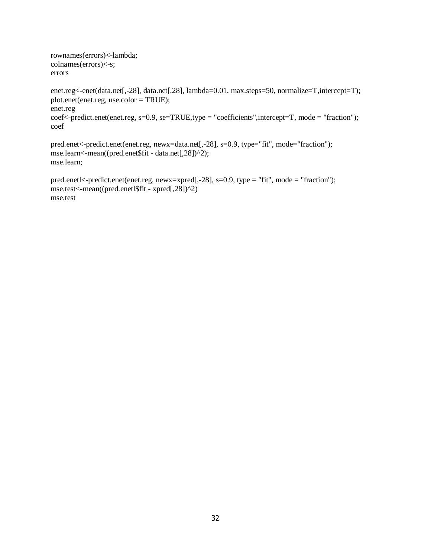rownames(errors)<-lambda; colnames(errors)<-s; errors

enet.reg<-enet(data.net[,-28], data.net[,28], lambda=0.01, max.steps=50, normalize=T,intercept=T); plot.enet(enet.reg, use.color = TRUE); enet.reg coef<-predict.enet(enet.reg, s=0.9, se=TRUE,type = "coefficients",intercept=T, mode = "fraction"); coef

pred.enet<-predict.enet(enet.reg, newx=data.net[,-28], s=0.9, type="fit", mode="fraction"); mse.learn<-mean((pred.enet\$fit - data.net[,28])^2); mse.learn;

pred.enetl<-predict.enet(enet.reg, newx=xpred[,-28], s=0.9, type = "fit", mode = "fraction"); mse.test<-mean((pred.enetl\$fit - xpred[,28])^2) mse.test